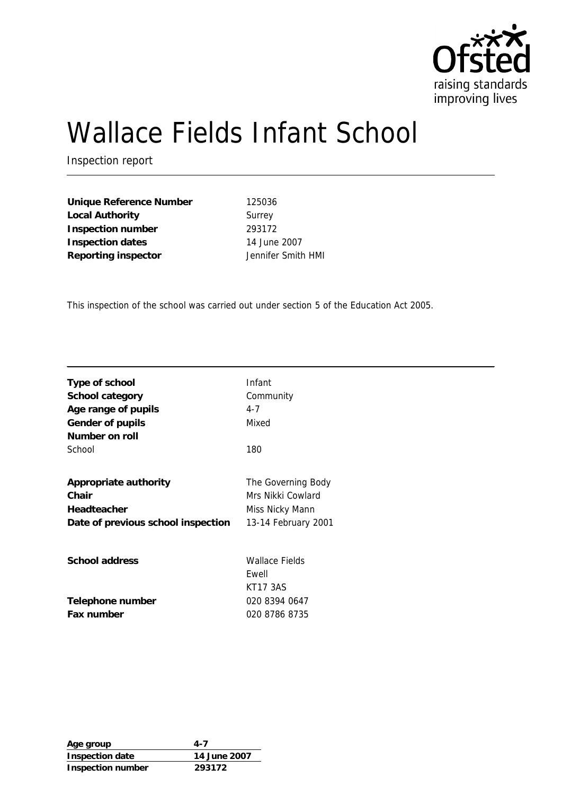

# Wallace Fields Infant School

Inspection report

**Unique Reference Number** 125036 Local Authority **Surrey Inspection number** 293172 **Inspection dates** 14 June 2007 **Reporting inspector** Jennifer Smith HMI

This inspection of the school was carried out under section 5 of the Education Act 2005.

| Type of school                     | Infant                |
|------------------------------------|-----------------------|
| School category                    | Community             |
| Age range of pupils                | $4 - 7$               |
| Gender of pupils                   | Mixed                 |
| Number on roll                     |                       |
| School                             | 180                   |
|                                    |                       |
| Appropriate authority              | The Governing Body    |
| Chair                              | Mrs Nikki Cowlard     |
| Headteacher                        | Miss Nicky Mann       |
| Date of previous school inspection | 13-14 February 2001   |
|                                    |                       |
| School address                     | <b>Wallace Fields</b> |
|                                    | Ewell                 |
|                                    | <b>KT17 3AS</b>       |
|                                    | 020 8394 0647         |
| Telephone number                   |                       |
| Fax number                         | 020 8786 8735         |

| Age group         | 4-7          |
|-------------------|--------------|
| Inspection date   | 14 June 2007 |
| Inspection number | 293172       |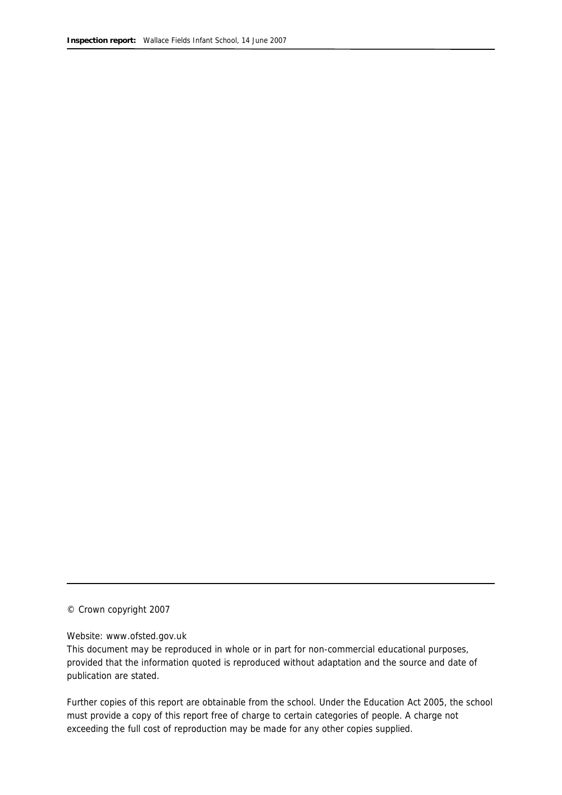© Crown copyright 2007

#### Website: www.ofsted.gov.uk

This document may be reproduced in whole or in part for non-commercial educational purposes, provided that the information quoted is reproduced without adaptation and the source and date of publication are stated.

Further copies of this report are obtainable from the school. Under the Education Act 2005, the school must provide a copy of this report free of charge to certain categories of people. A charge not exceeding the full cost of reproduction may be made for any other copies supplied.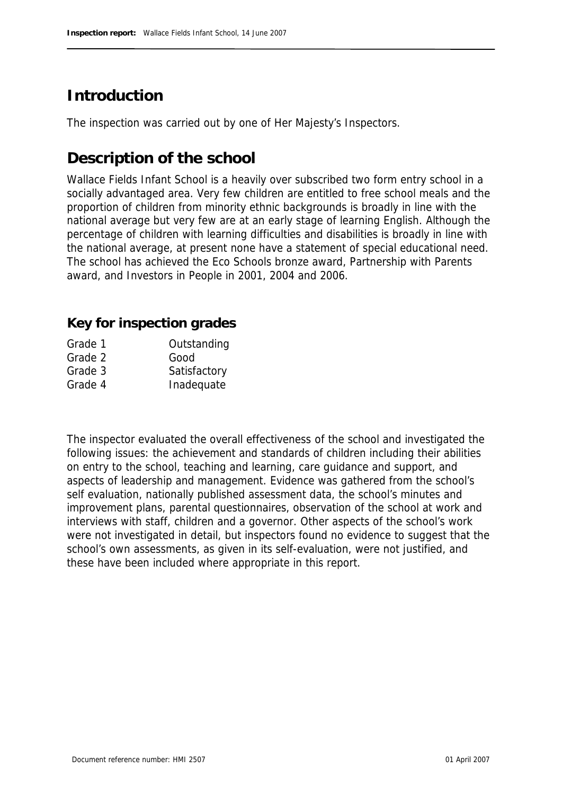# **Introduction**

The inspection was carried out by one of Her Majesty's Inspectors.

# **Description of the school**

Wallace Fields Infant School is a heavily over subscribed two form entry school in a socially advantaged area. Very few children are entitled to free school meals and the proportion of children from minority ethnic backgrounds is broadly in line with the national average but very few are at an early stage of learning English. Although the percentage of children with learning difficulties and disabilities is broadly in line with the national average, at present none have a statement of special educational need. The school has achieved the Eco Schools bronze award, Partnership with Parents award, and Investors in People in 2001, 2004 and 2006.

#### **Key for inspection grades**

| Grade 1 | Outstanding  |
|---------|--------------|
| Grade 2 | Good         |
| Grade 3 | Satisfactory |
| Grade 4 | Inadequate   |
|         |              |

The inspector evaluated the overall effectiveness of the school and investigated the following issues: the achievement and standards of children including their abilities on entry to the school, teaching and learning, care guidance and support, and aspects of leadership and management. Evidence was gathered from the school's self evaluation, nationally published assessment data, the school's minutes and improvement plans, parental questionnaires, observation of the school at work and interviews with staff, children and a governor. Other aspects of the school's work were not investigated in detail, but inspectors found no evidence to suggest that the school's own assessments, as given in its self-evaluation, were not justified, and these have been included where appropriate in this report.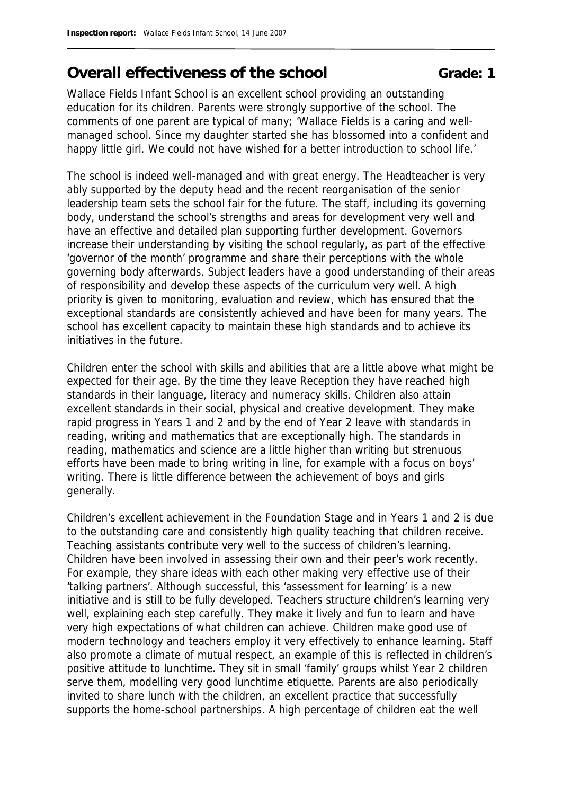# **Overall effectiveness of the school <b>Grade:** 1

Wallace Fields Infant School is an excellent school providing an outstanding education for its children. Parents were strongly supportive of the school. The comments of one parent are typical of many; 'Wallace Fields is a caring and wellmanaged school. Since my daughter started she has blossomed into a confident and happy little girl. We could not have wished for a better introduction to school life.'

The school is indeed well-managed and with great energy. The Headteacher is very ably supported by the deputy head and the recent reorganisation of the senior leadership team sets the school fair for the future. The staff, including its governing body, understand the school's strengths and areas for development very well and have an effective and detailed plan supporting further development. Governors increase their understanding by visiting the school regularly, as part of the effective 'governor of the month' programme and share their perceptions with the whole governing body afterwards. Subject leaders have a good understanding of their areas of responsibility and develop these aspects of the curriculum very well. A high priority is given to monitoring, evaluation and review, which has ensured that the exceptional standards are consistently achieved and have been for many years. The school has excellent capacity to maintain these high standards and to achieve its initiatives in the future.

Children enter the school with skills and abilities that are a little above what might be expected for their age. By the time they leave Reception they have reached high standards in their language, literacy and numeracy skills. Children also attain excellent standards in their social, physical and creative development. They make rapid progress in Years 1 and 2 and by the end of Year 2 leave with standards in reading, writing and mathematics that are exceptionally high. The standards in reading, mathematics and science are a little higher than writing but strenuous efforts have been made to bring writing in line, for example with a focus on boys' writing. There is little difference between the achievement of boys and girls generally.

Children's excellent achievement in the Foundation Stage and in Years 1 and 2 is due to the outstanding care and consistently high quality teaching that children receive. Teaching assistants contribute very well to the success of children's learning. Children have been involved in assessing their own and their peer's work recently. For example, they share ideas with each other making very effective use of their 'talking partners'. Although successful, this 'assessment for learning' is a new initiative and is still to be fully developed. Teachers structure children's learning very well, explaining each step carefully. They make it lively and fun to learn and have very high expectations of what children can achieve. Children make good use of modern technology and teachers employ it very effectively to enhance learning. Staff also promote a climate of mutual respect, an example of this is reflected in children's positive attitude to lunchtime. They sit in small 'family' groups whilst Year 2 children serve them, modelling very good lunchtime etiquette. Parents are also periodically invited to share lunch with the children, an excellent practice that successfully supports the home-school partnerships. A high percentage of children eat the well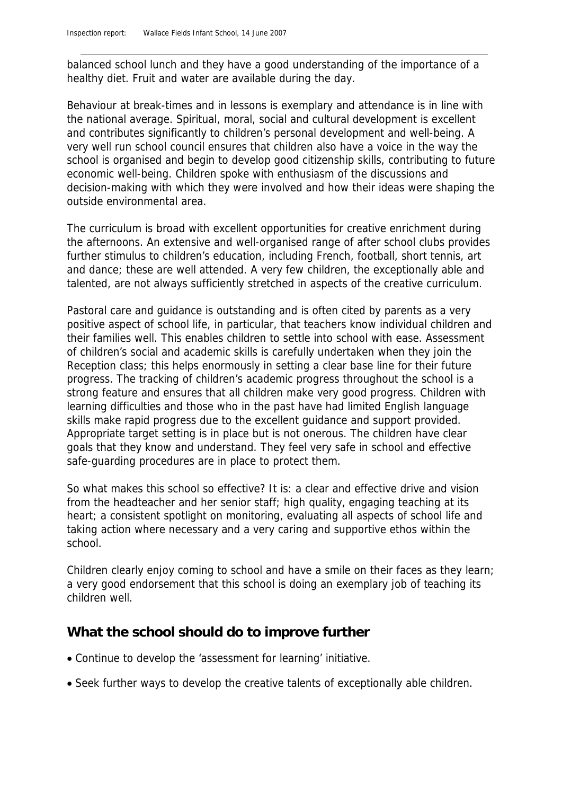balanced school lunch and they have a good understanding of the importance of a healthy diet. Fruit and water are available during the day.

Behaviour at break-times and in lessons is exemplary and attendance is in line with the national average. Spiritual, moral, social and cultural development is excellent and contributes significantly to children's personal development and well-being. A very well run school council ensures that children also have a voice in the way the school is organised and begin to develop good citizenship skills, contributing to future economic well-being. Children spoke with enthusiasm of the discussions and decision-making with which they were involved and how their ideas were shaping the outside environmental area.

The curriculum is broad with excellent opportunities for creative enrichment during the afternoons. An extensive and well-organised range of after school clubs provides further stimulus to children's education, including French, football, short tennis, art and dance; these are well attended. A very few children, the exceptionally able and talented, are not always sufficiently stretched in aspects of the creative curriculum.

Pastoral care and guidance is outstanding and is often cited by parents as a very positive aspect of school life, in particular, that teachers know individual children and their families well. This enables children to settle into school with ease. Assessment of children's social and academic skills is carefully undertaken when they join the Reception class; this helps enormously in setting a clear base line for their future progress. The tracking of children's academic progress throughout the school is a strong feature and ensures that all children make very good progress. Children with learning difficulties and those who in the past have had limited English language skills make rapid progress due to the excellent guidance and support provided. Appropriate target setting is in place but is not onerous. The children have clear goals that they know and understand. They feel very safe in school and effective safe-guarding procedures are in place to protect them.

So what makes this school so effective? It is: a clear and effective drive and vision from the headteacher and her senior staff; high quality, engaging teaching at its heart; a consistent spotlight on monitoring, evaluating all aspects of school life and taking action where necessary and a very caring and supportive ethos within the school.

Children clearly enjoy coming to school and have a smile on their faces as they learn; a very good endorsement that this school is doing an exemplary job of teaching its children well.

#### **What the school should do to improve further**

- Continue to develop the 'assessment for learning' initiative.
- Seek further ways to develop the creative talents of exceptionally able children.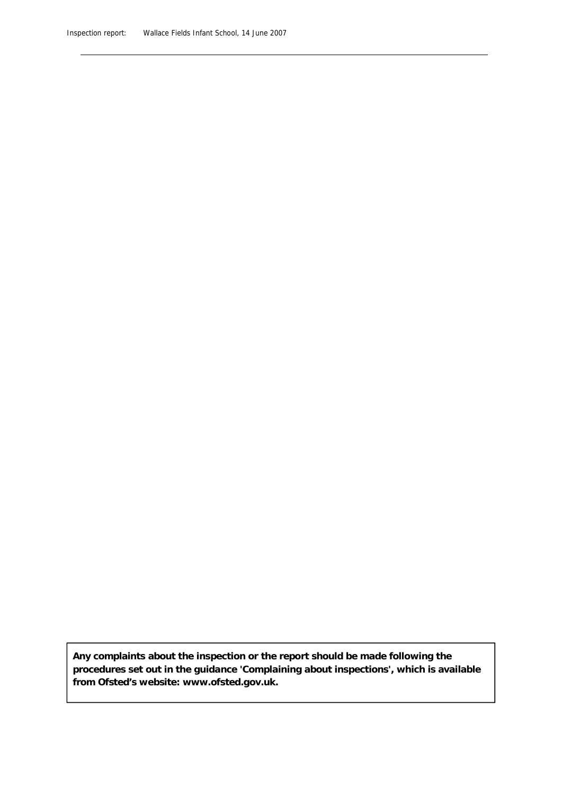**Any complaints about the inspection or the report should be made following the procedures set out in the guidance 'Complaining about inspections', which is available from Ofsted's website: www.ofsted.gov.uk.**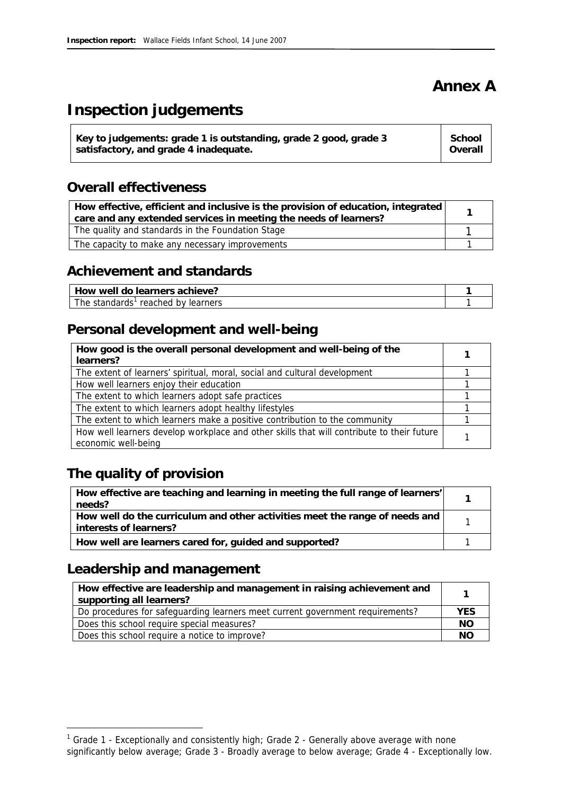# **Annex A**

# **Inspection judgements**

| Key to judgements: grade 1 is outstanding, grade 2 good, grade 3 | School  |
|------------------------------------------------------------------|---------|
| satisfactory, and grade 4 inadequate.                            | Overall |
|                                                                  |         |

### **Overall effectiveness**

| How effective, efficient and inclusive is the provision of education, integrated<br>care and any extended services in meeting the needs of learners? |  |
|------------------------------------------------------------------------------------------------------------------------------------------------------|--|
| The quality and standards in the Foundation Stage                                                                                                    |  |
| The capacity to make any necessary improvements                                                                                                      |  |

#### **Achievement and standards**

| How well do learners achieve?         |  |
|---------------------------------------|--|
| The standards'<br>reached by learners |  |

### **Personal development and well-being**

| How good is the overall personal development and well-being of the<br>learners?                                  |  |
|------------------------------------------------------------------------------------------------------------------|--|
| The extent of learners' spiritual, moral, social and cultural development                                        |  |
| How well learners enjoy their education                                                                          |  |
| The extent to which learners adopt safe practices                                                                |  |
| The extent to which learners adopt healthy lifestyles                                                            |  |
| The extent to which learners make a positive contribution to the community                                       |  |
| How well learners develop workplace and other skills that will contribute to their future<br>economic well-being |  |

## **The quality of provision**

| How effective are teaching and learning in meeting the full range of learners'<br>needs?              |  |
|-------------------------------------------------------------------------------------------------------|--|
| How well do the curriculum and other activities meet the range of needs and<br>interests of learners? |  |
| How well are learners cared for, guided and supported?                                                |  |

### **Leadership and management**

-

| How effective are leadership and management in raising achievement and<br>supporting all learners? |            |
|----------------------------------------------------------------------------------------------------|------------|
| Do procedures for safeguarding learners meet current government requirements?                      | <b>YES</b> |
| Does this school require special measures?                                                         | NO.        |
| Does this school require a notice to improve?                                                      | NС         |

<sup>&</sup>lt;sup>1</sup> Grade 1 - Exceptionally and consistently high; Grade 2 - Generally above average with none significantly below average; Grade 3 - Broadly average to below average; Grade 4 - Exceptionally low.